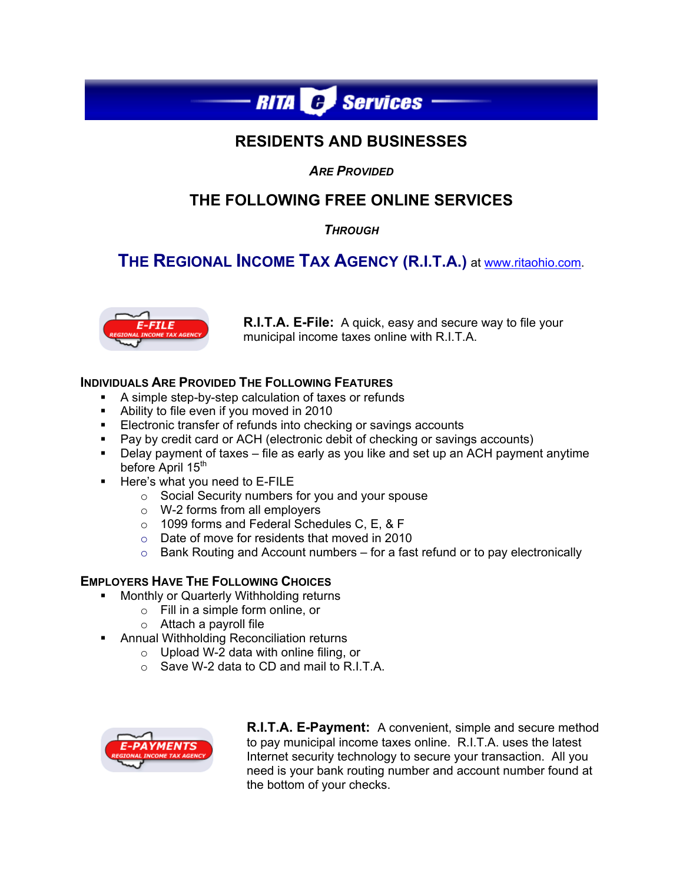

## **RESIDENTS AND BUSINESSES**

*ARE PROVIDED* 

# **THE FOLLOWING FREE ONLINE SERVICES**

*THROUGH*

# **THE REGIONAL INCOME TAX AGENCY (R.I.T.A.)** at www.ritaohio.com.



**R.I.T.A. E-File:** A quick, easy and secure way to file your municipal income taxes online with R.I.T.A.

## **INDIVIDUALS ARE PROVIDED THE FOLLOWING FEATURES**

- A simple step-by-step calculation of taxes or refunds
- Ability to file even if you moved in 2010
- **Electronic transfer of refunds into checking or savings accounts**
- Pay by credit card or ACH (electronic debit of checking or savings accounts)
- Delay payment of taxes file as early as you like and set up an ACH payment anytime before April 15<sup>th</sup>
- **Here's what you need to E-FILE** 
	- $\circ$  Social Security numbers for you and your spouse
	- o W-2 forms from all employers
	- o 1099 forms and Federal Schedules C, E, & F
	- o Date of move for residents that moved in 2010
	- $\circ$  Bank Routing and Account numbers for a fast refund or to pay electronically

## **EMPLOYERS HAVE THE FOLLOWING CHOICES**

- Monthly or Quarterly Withholding returns
	- o Fill in a simple form online, or
	- $\circ$  Attach a payroll file
- **Annual Withholding Reconciliation returns** 
	- o Upload W-2 data with online filing, or
	- o Save W-2 data to CD and mail to R.I.T.A.



**R.I.T.A. E-Payment:** A convenient, simple and secure method to pay municipal income taxes online. R.I.T.A. uses the latest Internet security technology to secure your transaction. All you need is your bank routing number and account number found at the bottom of your checks.